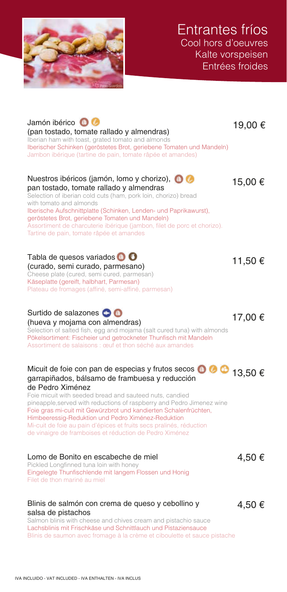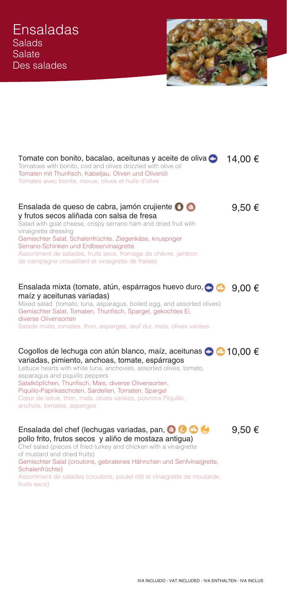

| Tomate con bonito, bacalao, aceitunas y aceite de oliva<br>Tomatoes with bonito, cod and olives drizzled with olive oil<br>Tomaten mit Thunfisch, Kabeljau, Oliven und Olivenöl<br>Tomates avec bonite, morue, olives et huile d'olive                                                                                                                                                                                                      | 14,00 €         |
|---------------------------------------------------------------------------------------------------------------------------------------------------------------------------------------------------------------------------------------------------------------------------------------------------------------------------------------------------------------------------------------------------------------------------------------------|-----------------|
| Ensalada de queso de cabra, jamón crujiente O O<br>y frutos secos aliñada con salsa de fresa<br>Salad with goat cheese, crispy serrano ham and dried fruit with<br>vinaigrette dressing<br>Gemischter Salat, Schalenfrüchte, Ziegenkäse, knuspriger<br>Serrano-Schinken und Erdbeervinaigrette<br>Assortiment de salades, fruits secs, fromage de chèvre, jambon<br>de campagne croustillant et vinaigrette de fraises                      | 9,50€           |
| Ensalada mixta (tomate, atún, espárragos huevo duro, co<br>maíz y aceitunas variadas)<br>Mixed salad (tomato, tuna, asparagus, boiled egg, and assorted olives)<br>Gemischter Salat, Tomaten, Thunfisch, Spargel, gekochtes Ei,<br>diverse Olivensorten<br>Salade mixte, tomates, thon, asperges, œuf dur, maïs, olives variées                                                                                                             | 9,00 $\epsilon$ |
| Cogollos de lechuga con atún blanco, maíz, aceitunas < 10,00 €<br>variadas, pimiento, anchoas, tomate, espárragos<br>Lettuce hearts with white tuna, anchovies, assorted olives, tomato,<br>asparagus and piquillo peppers<br>Salatköpfchen, Thunfisch, Mais, diverse Olivensorten,<br>Piquillo-Paprikaschoten, Sardellen, Tomaten, Spargel<br>Cœur de laitue, thon, maïs, olives variées, poivrons Piquillo,<br>anchois, tomates, asperges |                 |
| Ensalada del chef (lechugas variadas, pan, O O O O<br>pollo frito, frutos secos y aliño de mostaza antigua)<br>Chef salad (pieces of fried turkey and chicken with a vinaigrette<br>of mustard and dried fruits)<br>Gemischter Salat (croutons, gebratenes Hähnchen und Senfvinaigrette,<br>Schalenfrüchte)<br>Assortiment de salades (croutons, poulet rôti et vinaigrette de moutarde,<br>fruits secs)                                    | 9,50€           |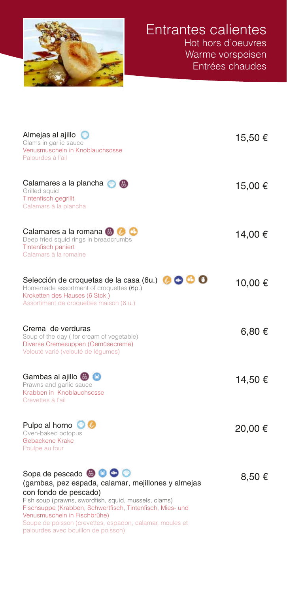

| Almejas al ajillo $\bullet$<br>Clams in garlic sauce<br>Venusmuscheln in Knoblauchsosse<br>Palourdes à l'ail                                                                                                                                                                                                                 | 15,50 € |
|------------------------------------------------------------------------------------------------------------------------------------------------------------------------------------------------------------------------------------------------------------------------------------------------------------------------------|---------|
| Calamares a la plancha <b>to a</b><br>Grilled squid<br>Tintenfisch gegrillt<br>Calamars à la plancha                                                                                                                                                                                                                         | 15,00 € |
| Calamares a la romana <b>b C</b><br>Deep fried squid rings in breadcrumbs<br>Tintenfisch paniert<br>Calamars à la romaine                                                                                                                                                                                                    | 14,00 € |
| 0000<br>Selección de croquetas de la casa (6u.)<br>Homemade assortment of croquettes (6p.)<br>Kroketten des Hauses (6 Stck.)<br>Assortiment de croquettes maison (6 u.)                                                                                                                                                      | 10,00 € |
| Crema de verduras<br>Soup of the day (for cream of vegetable)<br>Diverse Cremesuppen (Gemüsecreme)<br>Velouté varié (velouté de légumes)                                                                                                                                                                                     | 6,80 €  |
| Gambas al ajillo <b>C</b><br>Prawns and garlic sauce<br>Krabben in Knoblauchsosse<br>Crevettes à l'ail                                                                                                                                                                                                                       | 14,50 € |
| Pulpo al horno <b>O</b><br>Oven-baked octopus<br>Gebackene Krake<br>Poulpe au four                                                                                                                                                                                                                                           | 20,00€  |
| Sopa de pescado <b>@ O O</b><br>(gambas, pez espada, calamar, mejillones y almejas<br>con fondo de pescado)<br>Fish soup (prawns, swordfish, squid, mussels, clams)<br>Fischsuppe (Krabben, Schwertfisch, Tintenfisch, Mies- und<br>Venusmuscheln in Fischbrühe)<br>Soupe de poisson (crevettes, espadon, calamar, moules et | 8,50€   |

palourdes avec bouillon de poisson)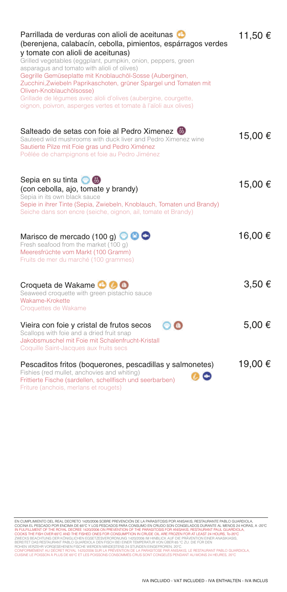| Parrillada de verduras con alioli de aceitunas<br>(berenjena, calabacín, cebolla, pimientos, espárragos verdes<br>y tomate con alioli de aceitunas)<br>Grilled vegetables (eggplant, pumpkin, onion, peppers, green<br>asparagus and tomato with alioli of olives)<br>Gegrille Gemüseplatte mit Knoblauchöl-Sosse (Auberginen,<br>Zucchini, Zwiebeln Paprikaschoten, grüner Spargel und Tomaten mit<br>Oliven-Knoblauchölsosse)<br>Grillade de légumes avec aïoli d'olives (aubergine, courgette,<br>oignon, poivron, asperges vertes et tomate à l'aïoli aux olives) | 11,50 € |
|-----------------------------------------------------------------------------------------------------------------------------------------------------------------------------------------------------------------------------------------------------------------------------------------------------------------------------------------------------------------------------------------------------------------------------------------------------------------------------------------------------------------------------------------------------------------------|---------|
| Salteado de setas con foie al Pedro Ximenez<br>Sauteed wild mushrooms with duck liver and Pedro Ximenez wine<br>Sautierte Pilze mit Foie gras und Pedro Ximénez<br>Poêlée de champignons et foie au Pedro Jiménez                                                                                                                                                                                                                                                                                                                                                     | 15,00 € |
| Sepia en su tinta $\bullet$<br>(con cebolla, ajo, tomate y brandy)<br>Sepia in its own black sauce<br>Sepie in ihrer Tinte (Sepia, Zwiebeln, Knoblauch, Tomaten und Brandy)<br>Seiche dans son encre (seiche, oignon, ail, tomate et Brandy)                                                                                                                                                                                                                                                                                                                          | 15,00 € |
| Marisco de mercado (100 g) $\bullet$ $\bullet$<br>Fresh seafood from the market (100 g)<br>Meeresfrüchte vom Markt (100 Gramm)<br>Fruits de mer du marché (100 grammes)                                                                                                                                                                                                                                                                                                                                                                                               | 16,00€  |
| Croqueta de Wakame <b>C C</b><br>Seaweed croquette with green pistachio sauce<br>Wakame-Krokette<br>Croquettes de Wakame                                                                                                                                                                                                                                                                                                                                                                                                                                              | 3,50€   |
| $\mathbf{\Phi}$ (a)<br>Vieira con foie y cristal de frutos secos<br>Scallops with foie and a dried fruit snap<br>Jakobsmuschel mit Foie mit Schalenfrucht-Kristall<br>Coquille Saint-Jacques aux fruits secs                                                                                                                                                                                                                                                                                                                                                          | 5,00€   |
| Pescaditos fritos (boquerones, pescadillas y salmonetes)<br>Fishies (red mullet, anchovies and whiting)<br>Frittierte Fische (sardellen, schellfisch und seerbarben)<br>Friture (anchois, merlans et rougets)                                                                                                                                                                                                                                                                                                                                                         | 19,00 € |

EN CUMPLIMIENTO DEL REAL DECRETO 1420/2006 SOBRE PREVENCIÓN DE LA PARASITOSIS POR ANISAKIS, RESTAURANTE PABLO GUARDIOLA,<br>COCINA EL PESCADO POR ENCIMA DE 65ºC Y LOS PESCADOS PARA CONSUMO EN CRIUDO SON CONGELADOS DURANTE PAL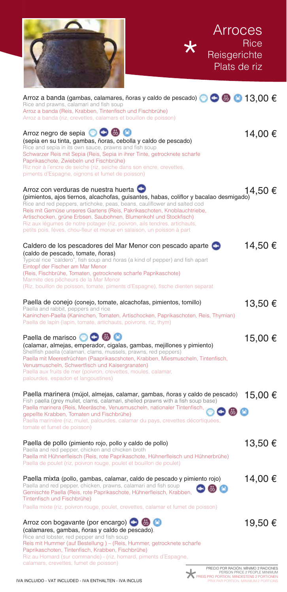| <b>Arroces</b><br>Reisgerichte<br>Plats de riz                                                                                                                                                                                                                                                                                                                                                                                                                                                                   | <b>Rice</b> |
|------------------------------------------------------------------------------------------------------------------------------------------------------------------------------------------------------------------------------------------------------------------------------------------------------------------------------------------------------------------------------------------------------------------------------------------------------------------------------------------------------------------|-------------|
| Arroz a banda (gambas, calamares, ñoras y caldo de pescado) $\bullet \bullet \bullet \bullet$ 13,00 €<br>Rice and prawns, calamari and fish soup<br>Arroz a banda (Reis, Krabben, Tintenfisch und Fischbrühe)<br>Arroz a banda (riz, crevettes, calamars et bouillon de poisson)                                                                                                                                                                                                                                 |             |
| Arroz negro de sepia <b>OC</b> O<br>(sepia en su tinta, gambas, ñoras, cebolla y caldo de pescado)<br>Rice and sepia in its own sauce, prawns and fish soup<br>Schwarzer Reis mit Sepia (Reis, Sepia in ihrer Tinte, getrocknete scharfe<br>Paprikaschote, Zwiebeln und Fischbrühe)<br>Riz noir à l'encre de seiche (riz, seiche dans son encre, crevettes,<br>piments d'Espagne, oignons et fumet de poisson)                                                                                                   | 14,00 €     |
| Arroz con verduras de nuestra huerta<br>(pimientos, ajos tiernos, alcachofas, guisantes, habas, coliflor y bacalao desmigado)<br>Rice and red peppers, artichoke, peas, beans, cauliflower and salted cod<br>Reis mit Gemüse unseres Gartens (Reis, Pakrikaschoten, Knoblauchtriebe,<br>Artischocken, grüne Erbsen, Saubohnen, Blumenkohl und Stockfisch)<br>Riz aux légumes de notre potager (riz, poivron, ails tendres, artichauts,<br>petits pois, fèves, chou-fleur et morue en salaison, un poisson à part | 14,50 €     |
| Caldero de los pescadores del Mar Menor con pescado aparte<br>(caldo de pescado, tomate, ñoras)<br>Typical rice "caldero", fish soup and ñoras (a kind of pepper) and fish apart<br>Eintopf der Fischer am Mar Menor<br>(Reis, Fischbrühe, Tomaten, getrocknete scharfe Paprikaschote)<br>Marmite des pêcheurs de la Mar Menor<br>(Riz, bouillon de poisson, tomate, piments d'Espagne), fische dienten separat                                                                                                  | 14,50€      |
| Paella de conejo (conejo, tomate, alcachofas, pimientos, tomillo)<br>Paella and rabbit, peppers and rice<br>Kaninchen-Paella (Kaninchen, Tomaten, Artischocken, Paprikaschoten, Reis, Thymian)<br>Paella de lapin (lapin, tomate, artichauts, poivrons, riz, thym)                                                                                                                                                                                                                                               | 13,50 €     |
| Paella de marisco <b>OO</b><br>(calamar, almejas, emperador, cigalas, gambas, mejillones y pimiento)<br>Shellfish paella (calamari, clams, mussels, prawns, red peppers)<br>Paella mit Meeresfrüchten (Paaprikascshoten, Krabben, Miesmuscheln, Tintenfisch,<br>Venusmuscheln, Schwertfisch und Kaisergranaten)<br>Paella aux fruits de mer (poivron, crevettes, moules, calamar,<br>palourdes, espadon et langoustines)                                                                                         | 15,00 €     |
| Paella marinera (mújol, almejas, calamar, gambas, ñoras y caldo de pescado)<br>Fish paella (grey mullet, clams, calamari, shelled prawns with a fish soup base)<br>Paella marinera (Reis, Meeräsche, Venusmuscheln, nationaler Tintenfisch,<br>中田口<br>gepellte Krabben, Tomaten und Fischbrühe)<br>Paella marinière (riz, mulet, palourdes, calamar du pays, crevettes décortiquées,<br>tomate et fumet de poisson)                                                                                              | 15,00 €     |
| Paella de pollo (pimiento rojo, pollo y caldo de pollo)<br>Paella and red pepper, chicken and chicken broth<br>Paella mit Hühnerfleisch (Reis, rote Paprikaschote, Hühnerfleisch und Hühnerbrühe)<br>Paella de poulet (riz, poivron rouge, poulet et bouillon de poulet)                                                                                                                                                                                                                                         | 13,50€      |
| Paella mixta (pollo, gambas, calamar, caldo de pescado y pimiento rojo)<br>Paella and red pepper, chicken, prawns, calamari and fish soup<br>품)<br>Gemischte Paella (Reis, rote Paprikaschote, Hühnerfleisch, Krabben,<br>Tintenfisch und Fischbrühe)<br>Paella mixte (riz, poivron rouge, poulet, crevettes, calamar et fumet de poisson)                                                                                                                                                                       | 14,00 €     |
| Arroz con bogavante (por encargo) <b>OB</b><br>(calamares, gambas, ñoras y caldo de pescado).<br>Rice and lobster, red pepper and fish soup<br>Reis mit Hummer (auf Bestellung) - (Reis, Hummer, getrocknete scharfe<br>Paprikaschoten, Tintenfisch, Krabben, Fischbrühe)<br>Riz au Homard (sur commande) - (riz. homard, piments d'Espagne                                                                                                                                                                      | 19,50 €     |

 $\tau$   $\tau$ 

Riz au Homard (sur commande) - (riz, homard, piments d'Espagne, calamars, crevettes, fumet de poisson)



PRECIO POR RACIÓN. MÍNIMO 2 RACIONES PERSON PRICE 2 PEOPLE MINIMUM PREIS PRO PORTION, MINDESTENS 2 PORTIONEN PRIX PAR PORTION. MINIMUM 2 PORTIONS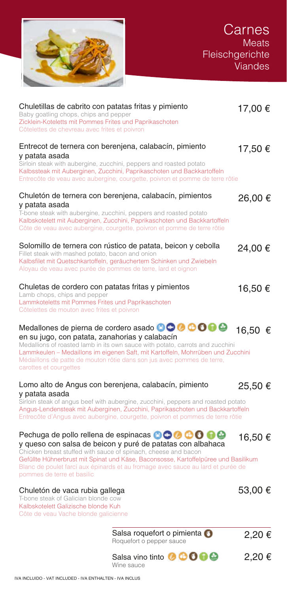

| Chuletillas de cabrito con patatas fritas y pimiento<br>Baby goatling chops, chips and pepper<br>Zicklein-Koteletts mit Pommes Frites und Paprikaschoten<br>Côtelettes de chevreau avec frites et poivron |                                                                                                                                                                                                                                                                                                                                                              | 17,00 € |
|-----------------------------------------------------------------------------------------------------------------------------------------------------------------------------------------------------------|--------------------------------------------------------------------------------------------------------------------------------------------------------------------------------------------------------------------------------------------------------------------------------------------------------------------------------------------------------------|---------|
| y patata asada                                                                                                                                                                                            | Entrecot de ternera con berenjena, calabacín, pimiento<br>Sirloin steak with aubergine, zucchini, peppers and roasted potato<br>Kalbssteak mit Auberginen, Zucchini, Paprikaschoten und Backkartoffeln<br>Entrecôte de veau avec aubergine, courgette, poivron et pomme de terre rôtie                                                                       | 17,50€  |
| y patata asada                                                                                                                                                                                            | Chuletón de ternera con berenjena, calabacín, pimientos<br>T-bone steak with aubergine, zucchini, peppers and roasted potato<br>Kalbskotelett mit Auberginen, Zucchini, Paprikaschoten und Backkartoffeln<br>Côte de veau avec aubergine, courgette, poivron et pomme de terre rôtie                                                                         | 26,00 € |
| Fillet steak with mashed potato, bacon and onion<br>Aloyau de veau avec purée de pommes de terre, lard et oignon                                                                                          | Solomillo de ternera con rústico de patata, beicon y cebolla<br>Kalbsfilet mit Quetschkartoffeln, geräuchertem Schinken und Zwiebeln                                                                                                                                                                                                                         | 24,00 € |
| Chuletas de cordero con patatas fritas y pimientos<br>Lamb chops, chips and pepper<br>Lammkoteletts mit Pommes Frites und Paprikaschoten<br>Côtelettes de mouton avec frites et poivron                   |                                                                                                                                                                                                                                                                                                                                                              | 16,50 € |
| en su jugo, con patata, zanahorias y calabacín<br>carottes et courgettes                                                                                                                                  | Medallones de pierna de cordero asado <b>OOOOOO</b><br>Medallions of roasted lamb in its own sauce with potato, carrots and zucchini<br>Lammkeulen - Medaillons im eigenen Saft, mit Kartoffeln, Mohrrüben und Zucchini<br>Médaillons de patte de mouton rôtie dans son jus avec pommes de terre,                                                            | 16,50 € |
| y patata asada                                                                                                                                                                                            | Lomo alto de Angus con berenjena, calabacín, pimiento<br>Sirloin steak of angus beef with aubergine, zucchini, peppers and roasted potato<br>Angus-Lendensteak mit Auberginen, Zucchini, Paprikaschoten und Backkartoffeln<br>Entrecôte d'Angus avec aubergine, courgette, poivron et pommes de terre rôtie                                                  | 25,50 € |
| pommes de terre et basilic                                                                                                                                                                                | Pechuga de pollo rellena de espinacas <b>OOOOOO</b><br>y queso con salsa de beicon y puré de patatas con albahaca<br>Chicken breast stuffed with sauce of spinach, cheese and bacon<br>Gefüllte Hühnerbrust mit Spinat und Käse, Baconsosse, Kartoffelpüree und Basilikum<br>Blanc de poulet farci aux épinards et au fromage avec sauce au lard et purée de | 16,50 € |
| Chuletón de vaca rubia gallega<br>T-bone steak of Galician blonde cow<br>Kalbskotelett Galizische blonde Kuh<br>Côte de veau Vache blonde galicienne                                                      |                                                                                                                                                                                                                                                                                                                                                              | 53,00 € |
|                                                                                                                                                                                                           | Salsa roquefort o pimienta<br>Roquefort o pepper sauce                                                                                                                                                                                                                                                                                                       | 2,20€   |
|                                                                                                                                                                                                           | Salsa vino tinto @ COOO<br>Wine sauce                                                                                                                                                                                                                                                                                                                        | 2,20€   |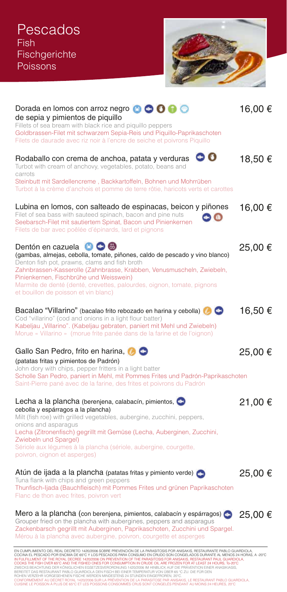![](_page_6_Picture_1.jpeg)

| Dorada en lomos con arroz negro 80000<br>de sepia y pimientos de piquillo<br>Fillets of sea bream with black rice and piquillo peppers<br>Goldbrassen-Filet mit schwarzem Sepia-Reis und Piquillo-Paprikaschoten<br>Filets de daurade avec riz noir à l'encre de seiche et poivrons Piquillo                                                                                                                               | 16,00 €     |
|----------------------------------------------------------------------------------------------------------------------------------------------------------------------------------------------------------------------------------------------------------------------------------------------------------------------------------------------------------------------------------------------------------------------------|-------------|
| $\bullet$ $\bullet$<br>Rodaballo con crema de anchoa, patata y verduras<br>Turbot with cream of anchovy, vegetables, potato, beans and<br>carrots<br>Steinbutt mit Sardellencreme, Backkartoffeln, Bohnen und Mohrrüben                                                                                                                                                                                                    | 18,50 €     |
| Turbot à la crème d'anchois et pomme de terre rôtie, haricots verts et carottes                                                                                                                                                                                                                                                                                                                                            |             |
| Lubina en lomos, con salteado de espinacas, beicon y piñones<br>Filet of sea bass with sauteed spinach, bacon and pine nuts<br>Seebarsch-Filet mit sautiertem Spinat, Bacon und Pinienkernen<br>Filets de bar avec poêlée d'épinards, lard et pignons                                                                                                                                                                      | 16,00 €     |
| Dentón en cazuela <b>O O O</b><br>(gambas, almejas, cebolla, tomate, piñones, caldo de pescado y vino blanco)<br>Denton fish pot, prawns, clams and fish broth<br>Zahnbrassen-Kasserolle (Zahnbrasse, Krabben, Venusmuscheln, Zwiebeln,<br>Pinienkernen, Fischbrühe und Weisswein)<br>Marmite de denté (denté, crevettes, palourdes, oignon, tomate, pignons<br>et bouillon de poisson et vin blanc)                       | 25,00 €     |
| Bacalao "Villarino" (bacalao frito rebozado en harina y cebolla)<br>Cod "villarino" (cod and onions in a light flour batter)<br>Kabeljau "Villarino". (Kabeljau gebraten, paniert mit Mehl und Zwiebeln)<br>Morue « Villarino » (morue frite panée dans de la farine et de l'oignon)                                                                                                                                       | 16,50 €     |
| Gallo San Pedro, frito en harina, <b>O</b><br>(patatas fritas y pimientos de Padrón)<br>John dory with chips, pepper fritters in a light batter<br>Scholle San Pedro, paniert in Mehl, mit Pommes Frites und Padrón-Paprikaschoten<br>Saint-Pierre pané avec de la farine, des frites et poivrons du Padrón                                                                                                                | 25,00 €     |
| Lecha a la plancha (berenjena, calabacín, pimientos,<br>cebolla y espárragos a la plancha)<br>Milt (fish roe) with grilled vegetables, aubergine, zucchini, peppers,<br>onions and asparagus<br>Lecha (Zitronenfisch) gegrillt mit Gemüse (Lecha, Auberginen, Zucchini,<br>Zwiebeln und Spargel)<br>Sériole aux légumes à la plancha (sériole, aubergine, courgette,<br>poivron, oignon et asperges)                       | 21,00 €     |
| Atún de ijada a la plancha (patatas fritas y pimiento verde)<br>Tuna flank with chips and green peppers<br>Thunfisch-Ijada (Bauchfleisch) mit Pommes Frites und grünen Paprikaschoten<br>Flanc de thon avec frites, poivron vert                                                                                                                                                                                           | 25,00 €     |
| Mero a la plancha (con berenjena, pimientos, calabacín y espárragos)<br>Grouper fried on the plancha with aubergines, peppers and asparagus<br>Zackenbarsch gegrillt mit Auberginen, Paprikaschoten, Zucchini und Spargel.<br>Mérou à la plancha avec aubergine, poivron, courgette et asperges<br>EN CUMPLIMIENTO DEL REAL DECRETO 1420/2006 SORRE PREVENCIÓN DE LA PARASITOSIS POR ANISAKIS, RESTAURANTE PARLO GUARDIOLA | $25,00 \in$ |

EN CUMPLIMIENTO DEL REAL DECRETO 1420/2006 SOBRE PREVENCIÓN DE LA PARASITOSIS POR ANISAKIS, RESTAURANTE PABLO GUARDIOLA,<br>COCINA EL PESCADO POR ENCIMA DE 65°C Y LOS PESCADOS PARA CONSUMO EN CRIUDO SON CONGELADOS DURANTE AL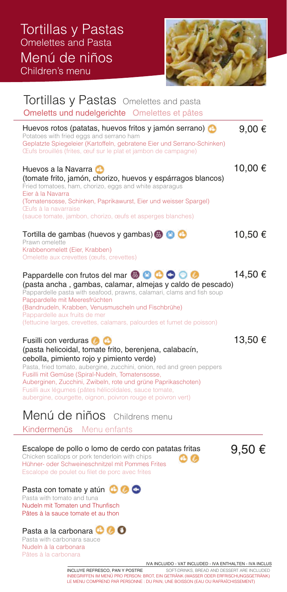![](_page_7_Picture_1.jpeg)

| Tortillas y Pastas Omelettes and pasta<br>Omeletts und nudelgerichte Omelettes et pâtes                                                                                                                                                                                                                                                                                                                                                                                                                                  |         |
|--------------------------------------------------------------------------------------------------------------------------------------------------------------------------------------------------------------------------------------------------------------------------------------------------------------------------------------------------------------------------------------------------------------------------------------------------------------------------------------------------------------------------|---------|
| Huevos rotos (patatas, huevos fritos y jamón serrano)<br>Potatoes with fried eggs and serrano ham<br>Geplatzte Spiegeleier (Kartoffeln, gebratene Eier und Serrano-Schinken)<br>Œufs brouillés (frites, œuf sur le plat et jambon de campagne)                                                                                                                                                                                                                                                                           | 9,00€   |
| Huevos a la Navarra <b>C</b><br>(tomate frito, jamón, chorizo, huevos y espárragos blancos)<br>Fried tomatoes, ham, chorizo, eggs and white asparagus<br>Eier à la Navarra<br>(Tomatensosse, Schinken, Paprikawurst, Eier und weisser Spargel)<br>Œufs à la navarraise<br>(sauce tomate, jambon, chorizo, œufs et asperges blanches)                                                                                                                                                                                     | 10,00 € |
| Tortilla de gambas (huevos y gambas) <b>300</b><br>Prawn omelette<br>Krabbenomelett (Eier, Krabben)<br>Omelette aux crevettes (œufs, crevettes)                                                                                                                                                                                                                                                                                                                                                                          | 10,50 € |
| Pappardelle con frutos del mar <b>@ 0 0 0 0 0</b><br>(pasta ancha, gambas, calamar, almejas y caldo de pescado)<br>Pappardelle pasta with seafood, prawns, calamari, clams and fish soup<br>Pappardelle mit Meeresfrüchten<br>(Bandnudeln, Krabben, Venusmuscheln und Fischbrühe)<br>Pappardelle aux fruits de mer<br>(fettucine larges, crevettes, calamars, palourdes et fumet de poisson)                                                                                                                             | 14,50 € |
| Fusilli con verduras <b>O</b><br>(pasta helicoidal, tomate frito, berenjena, calabacín,<br>cebolla, pimiento rojo y pimiento verde)<br>Pasta, fried tomato, aubergine, zucchini, onion, red and green peppers<br>Fusilli mit Gemüse (Spiral-Nudeln, Tomatensosse,<br>Auberginen, Zucchini, Zwibeln, rote und grüne Paprikaschoten)<br>Fusilli aux légumes (pâtes hélicoïdales, sauce tomate,<br>aubergine, courgette, oignon, poivron rouge et poivron vert)<br>Menú de niños Childrens menu<br>Kindermenüs Menu enfants | 13,50 € |
|                                                                                                                                                                                                                                                                                                                                                                                                                                                                                                                          |         |

### Escalope de pollo o lomo de cerdo con patatas fritas 9,50  $\epsilon$ <br>Chicken scallops or pork tenderloin with chips  $\epsilon$ Hühner- oder Schweineschnitzel mit Pommes Frites Escalope de poulet ou filet de porc avec frites

## Pasta con tomate y atún **O O**

Pasta with tomato and tuna Nudeln mit Tomaten und Thunfisch Pâtes à la sauce tomate et au thon

#### Pasta a la carbonara **C**O Pasta with carbonara sauce Nudeln à la carbonara

Pâtes à la carbonara

IVA INCLUIDO - VAT INCLUDED - IVA ENTHALTEN - IVA INCLUS

INCLUYE REFRESCO, PAN Y POSTRE SOFT-DRINKS, BREAD AND DESSERT ARE INCLUDED INBEGRIFFEN IM MENÜ PRO PERSON: BROT, EIN GETRÄNK (WASSER ODER ERFRISCHUNGSGETRÄNK) LE MENU COMPREND PAR PERSONNE : DU PAIN, UNE BOISSON (EAU OU RAFRAÎCHISSEMENT)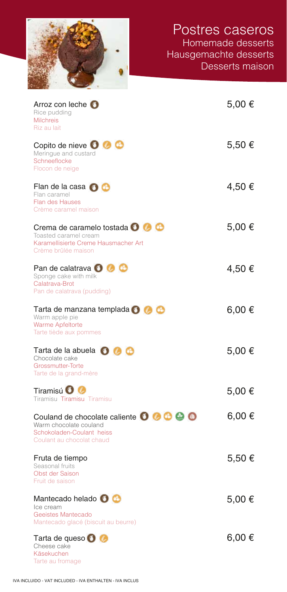| Arroz con leche <b>O</b><br>Rice pudding<br><b>Milchreis</b><br>Riz au lait                                                 | 5,00 € |
|-----------------------------------------------------------------------------------------------------------------------------|--------|
| Copito de nieve O O O<br>Meringue and custard<br>Schneeflocke<br>Flocon de neige                                            | 5,50 € |
| Flan de la casa $\bigcirc$ $\bigcirc$<br>Flan caramel<br><b>Flan des Hauses</b><br>Crème caramel maison                     | 4,50 € |
| Crema de caramelo tostada O O C<br>Toasted caramel cream<br>Karamellisierte Creme Hausmacher Art<br>Crème brûlée maison     | 5,00 € |
| Pan de calatrava <b>O C</b><br>Sponge cake with milk<br>Calatrava-Brot<br>Pan de calatrava (pudding)                        | 4,50 € |
| Tarta de manzana templada <b>O</b><br>Warm apple pie<br>Warme Apfeltorte<br>Tarte tiède aux pommes                          | 6,00 € |
| Tarta de la abuela <b>O O</b><br>Chocolate cake<br>Grossmutter-Torte<br>Tarte de la grand-mère                              | 5,00 € |
| Tiramisú <b>O</b><br>Tiramisu Tiramisu Tiramisu                                                                             | 5,00 € |
| Couland de chocolate caliente 0 0 0 0 0<br>Warm chocolate couland<br>Schokoladen-Coulant heiss<br>Coulant au chocolat chaud | 6,00 € |
| Fruta de tiempo<br>Seasonal fruits<br>Obst der Saison<br>Fruit de saison                                                    | 5,50 € |
| Mantecado helado <b>O</b><br>Ice cream<br>Geeistes Mantecado                                                                | 5,00 € |
| Mantecado glacé (biscuit au beurre)<br>Tarta de queso <b>O</b><br>Cheese cake<br>Käsekuchen                                 | 6,00 € |
| Tarte au fromage                                                                                                            |        |